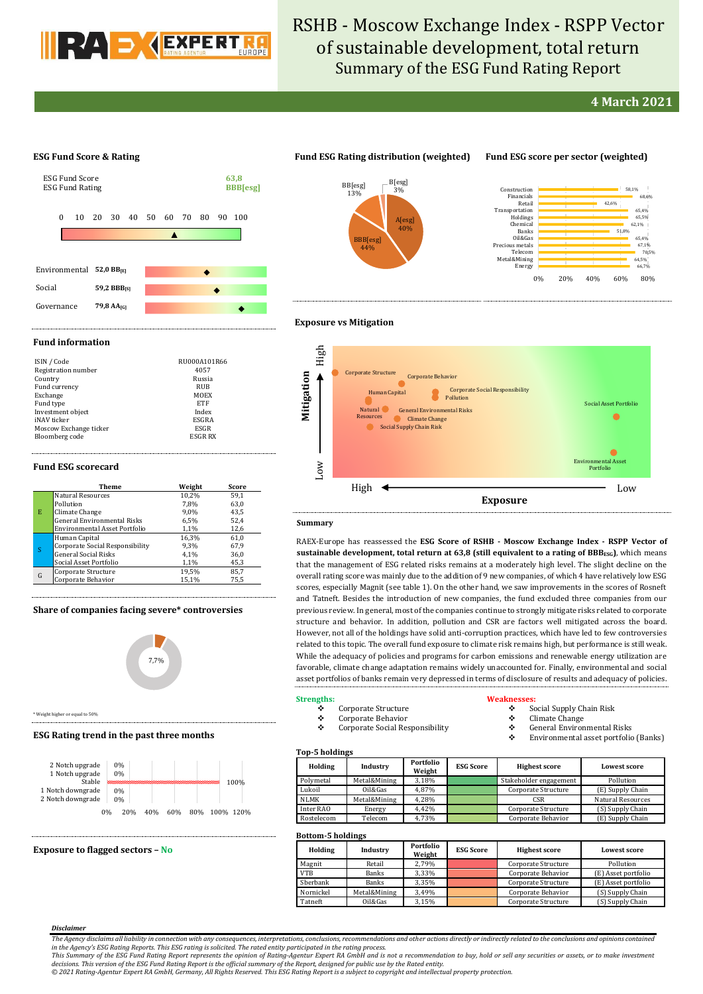

# RSHB - Moscow Exchange Index - RSPP Vector of sustainable development, total return Summary of the ESG Fund Rating Report

## **4 March 2021**

#### **ESG Fund Score & Rating**



### **Fund ESG Rating distribution (weighted) Fund ESG score per sector (weighted)**





#### **Exposure vs Mitigation**

#### **Fund information**

| ISIN / Code            | RU000A101R66 |
|------------------------|--------------|
| Registration number    | 4057         |
| Country                | Russia       |
| Fund currency          | RUB          |
| Exchange               | MOEX         |
| Fund type              | <b>ETF</b>   |
| Investment object      | Index        |
| iNAV ticker            | ESGRA        |
| Moscow Exchange ticker | ESGR         |
| Bloomberg code         | ESGR RX      |

#### **Fund ESG scorecard**

|   | Theme                              | Weight | Score |
|---|------------------------------------|--------|-------|
|   | <b>Natural Resources</b>           | 10,2%  | 59.1  |
| E | Pollution                          | 7.8%   | 63,0  |
|   | Climate Change                     | 9.0%   | 43.5  |
|   | <b>General Environmental Risks</b> | 6.5%   | 52,4  |
|   | Environmental Asset Portfolio      | 1,1%   | 12,6  |
|   | Human Capital                      | 16,3%  | 61,0  |
|   | Corporate Social Responsibility    | 9,3%   | 67,9  |
|   | <b>General Social Risks</b>        | 4.1%   | 36,0  |
|   | Social Asset Portfolio             | 1,1%   | 45,3  |
| G | Corporate Structure                | 19.5%  | 85.7  |
|   | Corporate Behavior                 | 15,1%  | 75,5  |

#### **Share of companies facing severe\* controversies**



\* Weight higher or equal to 50%

#### **ESG Rating trend in the past three months**



#### **Exposure to flagged sectors – No**

| High     |                                                                                                                                                                                                                                                                  |                                                                          |
|----------|------------------------------------------------------------------------------------------------------------------------------------------------------------------------------------------------------------------------------------------------------------------|--------------------------------------------------------------------------|
| Z<br>Low | <b>Corporate Structure</b><br>Corporate Behavior<br><b>Corporate Social Responsibility</b><br>Human Capital<br>Pollution<br><b>Natural</b><br><b>General Environmental Risks</b><br><b>Resources</b><br><b>Climate Change</b><br><b>Social Supply Chain Risk</b> | <b>Social Asset Portfolio</b><br><b>Environmental Asset</b><br>Portfolio |
|          | High<br><b>Exposure</b>                                                                                                                                                                                                                                          | Low                                                                      |

#### **Summary**

**Mitigation**

RAEX-Europe has reassessed the **ESG Score of RSHB - Moscow Exchange Index - RSPP Vector of sustainable development, total return at 63,8 (still equivalent to a rating of BBBESG)**, which means that the management of ESG related risks remains at a moderately high level. The slight decline on the overall rating score was mainly due to the addition of 9 new companies, of which 4 have relatively low ESG scores, especially Magnit (see table 1). On the other hand, we saw improvements in the scores of Rosneft and Tatneft. Besides the introduction of new companies, the fund excluded three companies from our previous review. In general, most of the companies continue to strongly mitigate risks related to corporate structure and behavior. In addition, pollution and CSR are factors well mitigated across the board. However, not all of the holdings have solid anti-corruption practices, which have led to few controversies related to this topic. The overall fund exposure to climate risk remains high, but performance is still weak. While the adequacy of policies and programs for carbon emissions and renewable energy utilization are favorable, climate change adaptation remains widely unaccounted for. Finally, environmental and social asset portfolios of banks remain very depressed in terms of disclosure of results and adequacy of policies.

#### **Strengths:**

#### Corporate Structure

- Corporate Behavior
- Corporate Social Responsibility

### **Weaknesses:**

- $\div$  Social Supply Chain Risk<br>  $\div$  Climate Change
- $\begin{matrix} \bullet \\ \bullet \end{matrix}$  Climate Change
- General Environmental Risks Environmental asset portfolio (Banks)

#### **Top-5 holdings**

| <b>TOD D</b> HORIHIES |              |                     |                  |                        |                     |  |  |  |  |  |
|-----------------------|--------------|---------------------|------------------|------------------------|---------------------|--|--|--|--|--|
| Holding               | Industry     | Portfolio<br>Weight | <b>ESG Score</b> | <b>Highest score</b>   | <b>Lowest score</b> |  |  |  |  |  |
| Polymetal             | Metal&Mining | 3,18%               |                  | Stakeholder engagement | Pollution           |  |  |  |  |  |
| Lukoil                | Oil&Gas      | 4.87%               |                  | Corporate Structure    | (E) Supply Chain    |  |  |  |  |  |
| NLMK                  | Metal&Mining | 4.28%               |                  | <b>CSR</b>             | Natural Resources   |  |  |  |  |  |
| Inter RAO             | Energy       | 4.42%               |                  | Corporate Structure    | (S) Supply Chain    |  |  |  |  |  |
| Rostelecom            | Telecom      | 4,73%               |                  | Corporate Behavior     | (E) Supply Chain    |  |  |  |  |  |

### **Bottom-5 holdings**

| Holding    | Industry     | Portfolio<br>Weight | <b>ESG Score</b> | <b>Highest score</b> | <b>Lowest score</b> |  |  |
|------------|--------------|---------------------|------------------|----------------------|---------------------|--|--|
| Magnit     | Retail       | 2,79%               |                  | Corporate Structure  | Pollution           |  |  |
| <b>VTB</b> | <b>Banks</b> | 3.33%               |                  | Corporate Behavior   | (E) Asset portfolio |  |  |
| Sberbank   | <b>Banks</b> | 3.35%               |                  | Corporate Structure  | (E) Asset portfolio |  |  |
| Nornickel  | Metal&Mining | 3.49%               |                  | Corporate Behavior   | (S) Supply Chain    |  |  |
| Tatneft    | Oil&Gas      | 3.15%               |                  | Corporate Structure  | (S) Supply Chain    |  |  |

#### *Disclaimer*

*© 2021 Rating-Agentur Expert RA GmbH, Germany, All Rights Reserved. This ESG Rating Report is a subject to copyright and intellectual property protection.*

*The Agency disclaims all liability in connection with any consequences, interpretations, conclusions, recommendations and other actions directly or indirectly related to the conclusions and opinions contained in the Agency's ESG Rating Reports. This ESG rating is solicited. The rated entity participated in the rating process.*

This Summary of the ESG Fund Rating Report represents the opinion of Rating-Agentur Expert RA GmbH and is not a recommendation to buy, hold or sell any securities or assets, or to make investment<br>decisions. This version of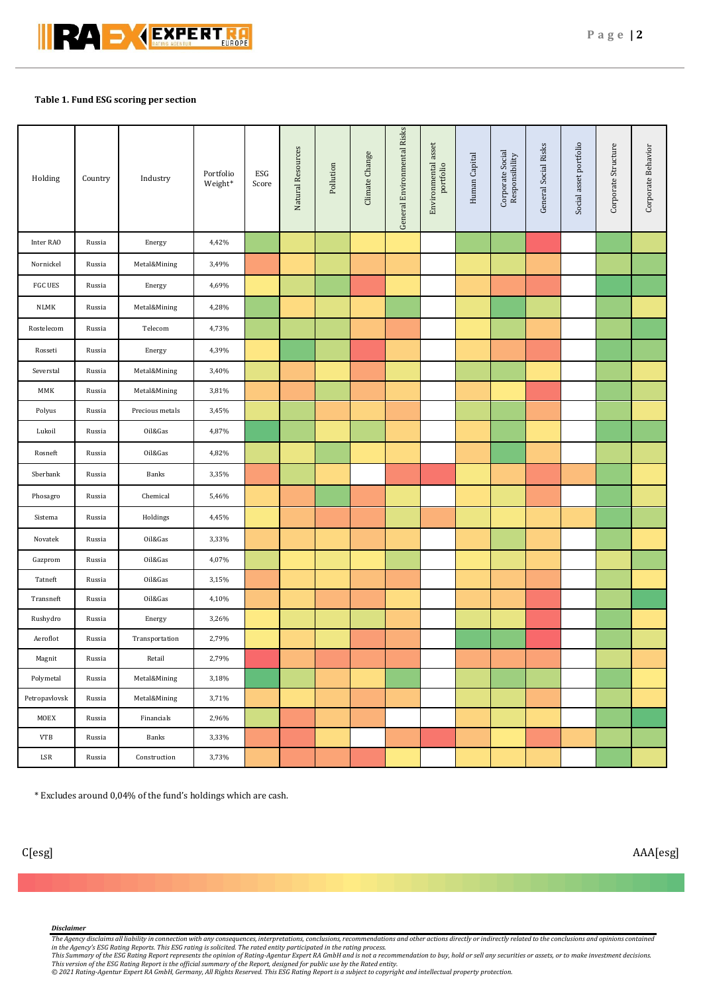

### **Table 1. Fund ESG scoring per section**

| Holding        | Country | Industry        | Portfolio<br>Weight* | ESG<br>Score | Natural Resources | Pollution | Climate Change | General Environmental Risks | Environmental asset<br>portfolio | Human Capital | Corporate Social<br>Responsibility | General Social Risks | Social asset portfolio | Corporate Structure | Corporate Behavior |
|----------------|---------|-----------------|----------------------|--------------|-------------------|-----------|----------------|-----------------------------|----------------------------------|---------------|------------------------------------|----------------------|------------------------|---------------------|--------------------|
| Inter RAO      | Russia  | Energy          | 4,42%                |              |                   |           |                |                             |                                  |               |                                    |                      |                        |                     |                    |
| Nornickel      | Russia  | Metal&Mining    | 3,49%                |              |                   |           |                |                             |                                  |               |                                    |                      |                        |                     |                    |
| <b>FGC UES</b> | Russia  | Energy          | 4,69%                |              |                   |           |                |                             |                                  |               |                                    |                      |                        |                     |                    |
| NLMK           | Russia  | Metal&Mining    | 4,28%                |              |                   |           |                |                             |                                  |               |                                    |                      |                        |                     |                    |
| Rostelecom     | Russia  | Telecom         | 4,73%                |              |                   |           |                |                             |                                  |               |                                    |                      |                        |                     |                    |
| Rosseti        | Russia  | Energy          | 4,39%                |              |                   |           |                |                             |                                  |               |                                    |                      |                        |                     |                    |
| Severstal      | Russia  | Metal&Mining    | 3,40%                |              |                   |           |                |                             |                                  |               |                                    |                      |                        |                     |                    |
| MMK            | Russia  | Metal&Mining    | 3,81%                |              |                   |           |                |                             |                                  |               |                                    |                      |                        |                     |                    |
| Polyus         | Russia  | Precious metals | 3,45%                |              |                   |           |                |                             |                                  |               |                                    |                      |                        |                     |                    |
| Lukoil         | Russia  | Oil&Gas         | 4,87%                |              |                   |           |                |                             |                                  |               |                                    |                      |                        |                     |                    |
| Rosneft        | Russia  | Oil&Gas         | 4,82%                |              |                   |           |                |                             |                                  |               |                                    |                      |                        |                     |                    |
| Sberbank       | Russia  | Banks           | 3,35%                |              |                   |           |                |                             |                                  |               |                                    |                      |                        |                     |                    |
| Phosagro       | Russia  | Chemical        | 5,46%                |              |                   |           |                |                             |                                  |               |                                    |                      |                        |                     |                    |
| Sistema        | Russia  | Holdings        | 4,45%                |              |                   |           |                |                             |                                  |               |                                    |                      |                        |                     |                    |
| Novatek        | Russia  | Oil&Gas         | 3,33%                |              |                   |           |                |                             |                                  |               |                                    |                      |                        |                     |                    |
| Gazprom        | Russia  | Oil&Gas         | 4,07%                |              |                   |           |                |                             |                                  |               |                                    |                      |                        |                     |                    |
| Tatneft        | Russia  | Oil&Gas         | 3,15%                |              |                   |           |                |                             |                                  |               |                                    |                      |                        |                     |                    |
| Transneft      | Russia  | Oil&Gas         | 4,10%                |              |                   |           |                |                             |                                  |               |                                    |                      |                        |                     |                    |
| Rushydro       | Russia  | Energy          | 3,26%                |              |                   |           |                |                             |                                  |               |                                    |                      |                        |                     |                    |
| Aeroflot       | Russia  | Transportation  | 2,79%                |              |                   |           |                |                             |                                  |               |                                    |                      |                        |                     |                    |
| Magnit         | Russia  | Retail          | 2,79%                |              |                   |           |                |                             |                                  |               |                                    |                      |                        |                     |                    |
| Polymetal      | Russia  | Metal&Mining    | 3,18%                |              |                   |           |                |                             |                                  |               |                                    |                      |                        |                     |                    |
| Petropavlovsk  | Russia  | Metal&Mining    | 3,71%                |              |                   |           |                |                             |                                  |               |                                    |                      |                        |                     |                    |
| MOEX           | Russia  | Financials      | 2,96%                |              |                   |           |                |                             |                                  |               |                                    |                      |                        |                     |                    |
| <b>VTB</b>     | Russia  | Banks           | 3,33%                |              |                   |           |                |                             |                                  |               |                                    |                      |                        |                     |                    |
| LSR            | Russia  | Construction    | 3,73%                |              |                   |           |                |                             |                                  |               |                                    |                      |                        |                     |                    |

\* Excludes around 0,04% of the fund's holdings which are cash.

#### *Disclaimer*

The Agency disclaims all liability in connection with any consequences, interpretations, conclusions, recommendations and other actions directly or indirectly related to the conclusions and opinions contained<br>in the Agency

This Summary of the ESG Rating Report represents the opinion of Rating-Agentur Expert RA GmbH and is not a recommendation to buy, hold or sell any securities or assets, or to make investment decisions.<br>This version of the